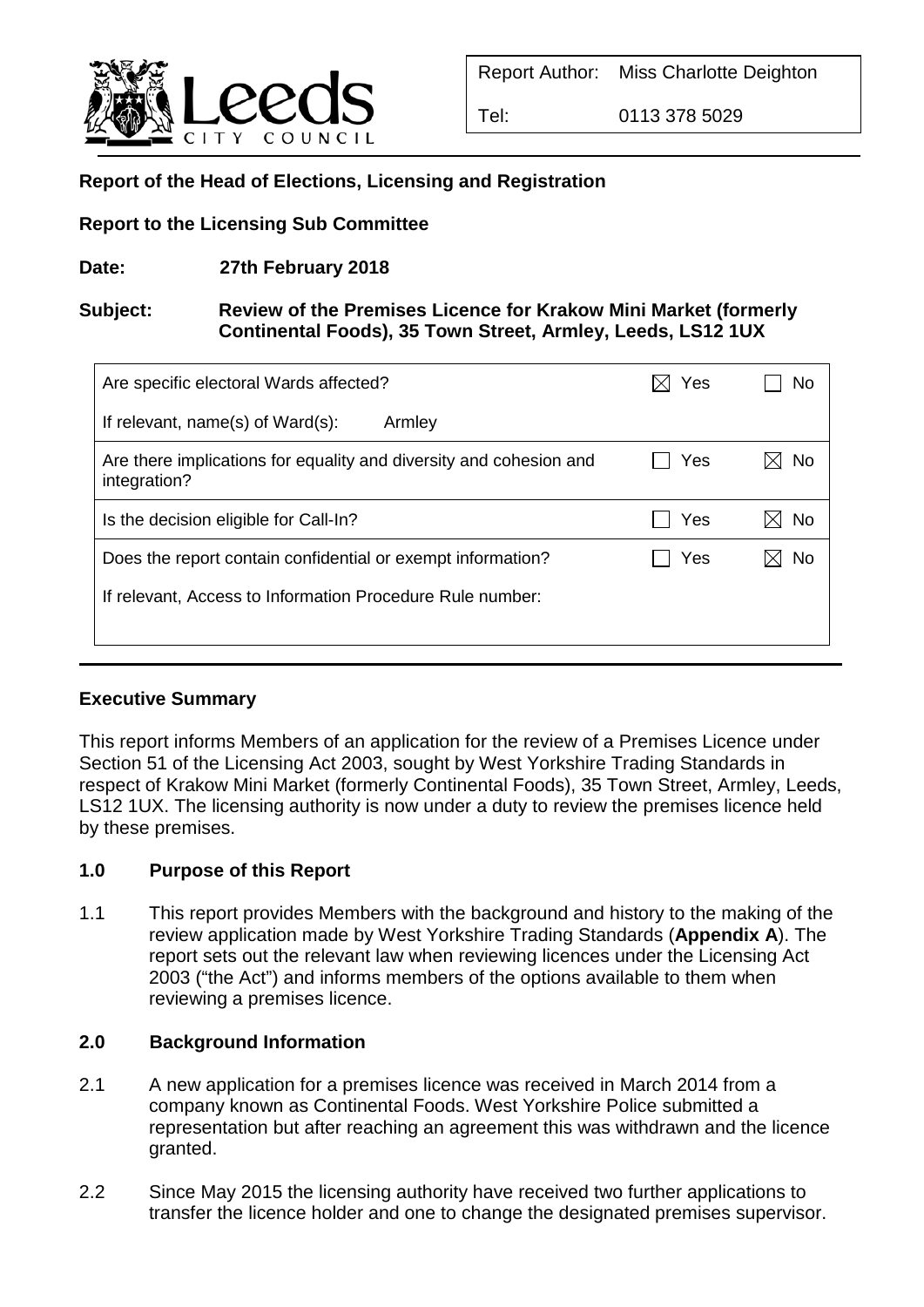

Tel: 0113 378 5029

# **Report of the Head of Elections, Licensing and Registration**

### **Report to the Licensing Sub Committee**

**Date: 27th February 2018**

### **Subject: Review of the Premises Licence for Krakow Mini Market (formerly Continental Foods), 35 Town Street, Armley, Leeds, LS12 1UX**

| Are specific electoral Wards affected?                                             | Yes | No |
|------------------------------------------------------------------------------------|-----|----|
| If relevant, name(s) of Ward(s):<br>Armley                                         |     |    |
| Are there implications for equality and diversity and cohesion and<br>integration? | Yes | No |
| Is the decision eligible for Call-In?                                              | Yes | No |
| Does the report contain confidential or exempt information?                        | Yes | No |
| If relevant, Access to Information Procedure Rule number:                          |     |    |
|                                                                                    |     |    |

## **Executive Summary**

This report informs Members of an application for the review of a Premises Licence under Section 51 of the Licensing Act 2003, sought by West Yorkshire Trading Standards in respect of Krakow Mini Market (formerly Continental Foods), 35 Town Street, Armley, Leeds, LS12 1UX. The licensing authority is now under a duty to review the premises licence held by these premises.

#### **1.0 Purpose of this Report**

1.1 This report provides Members with the background and history to the making of the review application made by West Yorkshire Trading Standards (**Appendix A**). The report sets out the relevant law when reviewing licences under the Licensing Act 2003 ("the Act") and informs members of the options available to them when reviewing a premises licence.

#### **2.0 Background Information**

- 2.1 A new application for a premises licence was received in March 2014 from a company known as Continental Foods. West Yorkshire Police submitted a representation but after reaching an agreement this was withdrawn and the licence granted.
- 2.2 Since May 2015 the licensing authority have received two further applications to transfer the licence holder and one to change the designated premises supervisor.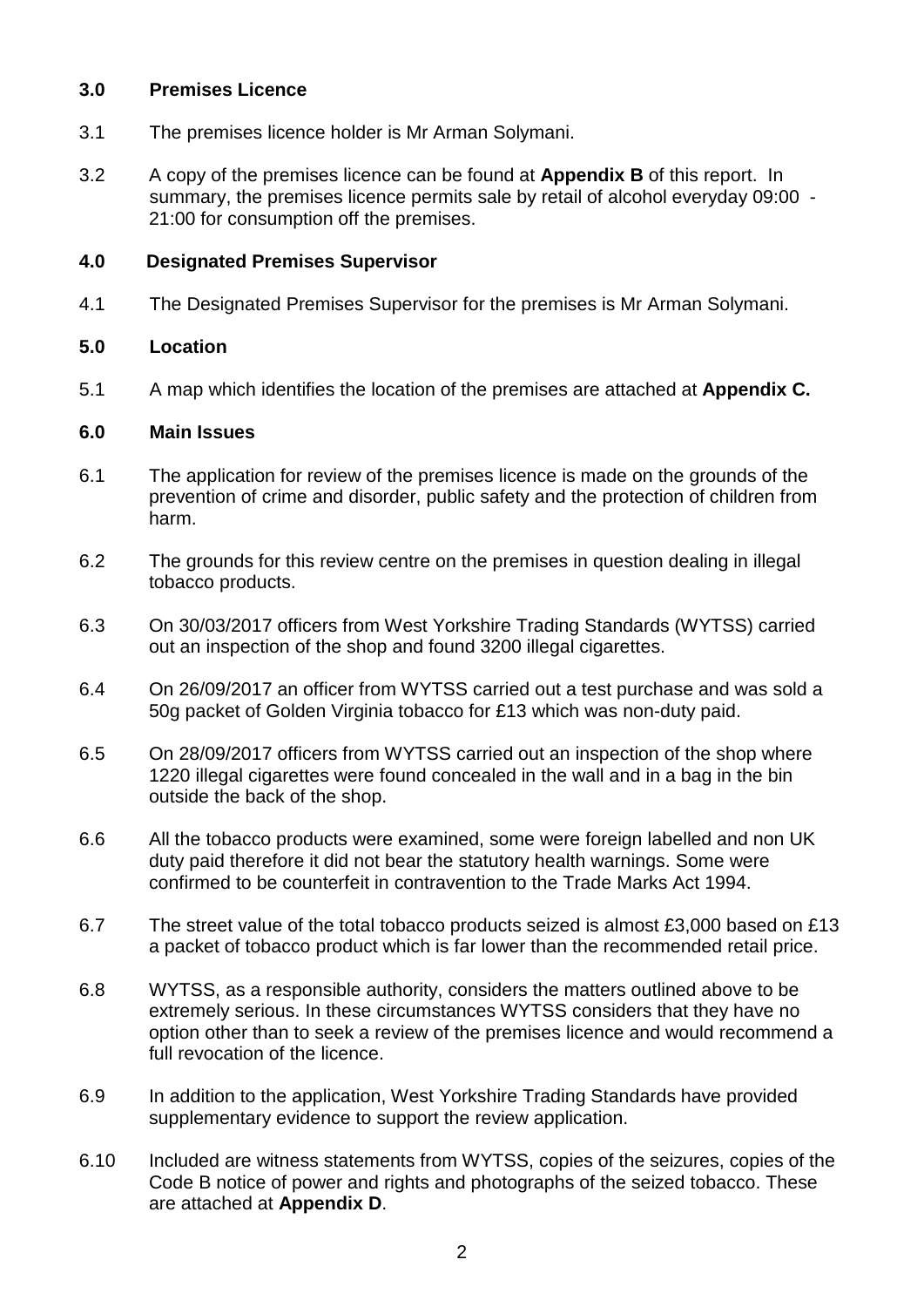### **3.0 Premises Licence**

- 3.1 The premises licence holder is Mr Arman Solymani.
- 3.2 A copy of the premises licence can be found at **Appendix B** of this report. In summary, the premises licence permits sale by retail of alcohol everyday 09:00 - 21:00 for consumption off the premises.

### **4.0 Designated Premises Supervisor**

4.1 The Designated Premises Supervisor for the premises is Mr Arman Solymani.

### **5.0 Location**

5.1 A map which identifies the location of the premises are attached at **Appendix C.** 

#### **6.0 Main Issues**

- 6.1 The application for review of the premises licence is made on the grounds of the prevention of crime and disorder, public safety and the protection of children from harm.
- 6.2 The grounds for this review centre on the premises in question dealing in illegal tobacco products.
- 6.3 On 30/03/2017 officers from West Yorkshire Trading Standards (WYTSS) carried out an inspection of the shop and found 3200 illegal cigarettes.
- 6.4 On 26/09/2017 an officer from WYTSS carried out a test purchase and was sold a 50g packet of Golden Virginia tobacco for £13 which was non-duty paid.
- 6.5 On 28/09/2017 officers from WYTSS carried out an inspection of the shop where 1220 illegal cigarettes were found concealed in the wall and in a bag in the bin outside the back of the shop.
- 6.6 All the tobacco products were examined, some were foreign labelled and non UK duty paid therefore it did not bear the statutory health warnings. Some were confirmed to be counterfeit in contravention to the Trade Marks Act 1994.
- 6.7 The street value of the total tobacco products seized is almost £3,000 based on £13 a packet of tobacco product which is far lower than the recommended retail price.
- 6.8 WYTSS, as a responsible authority, considers the matters outlined above to be extremely serious. In these circumstances WYTSS considers that they have no option other than to seek a review of the premises licence and would recommend a full revocation of the licence.
- 6.9 In addition to the application, West Yorkshire Trading Standards have provided supplementary evidence to support the review application.
- 6.10 Included are witness statements from WYTSS, copies of the seizures, copies of the Code B notice of power and rights and photographs of the seized tobacco. These are attached at **Appendix D**.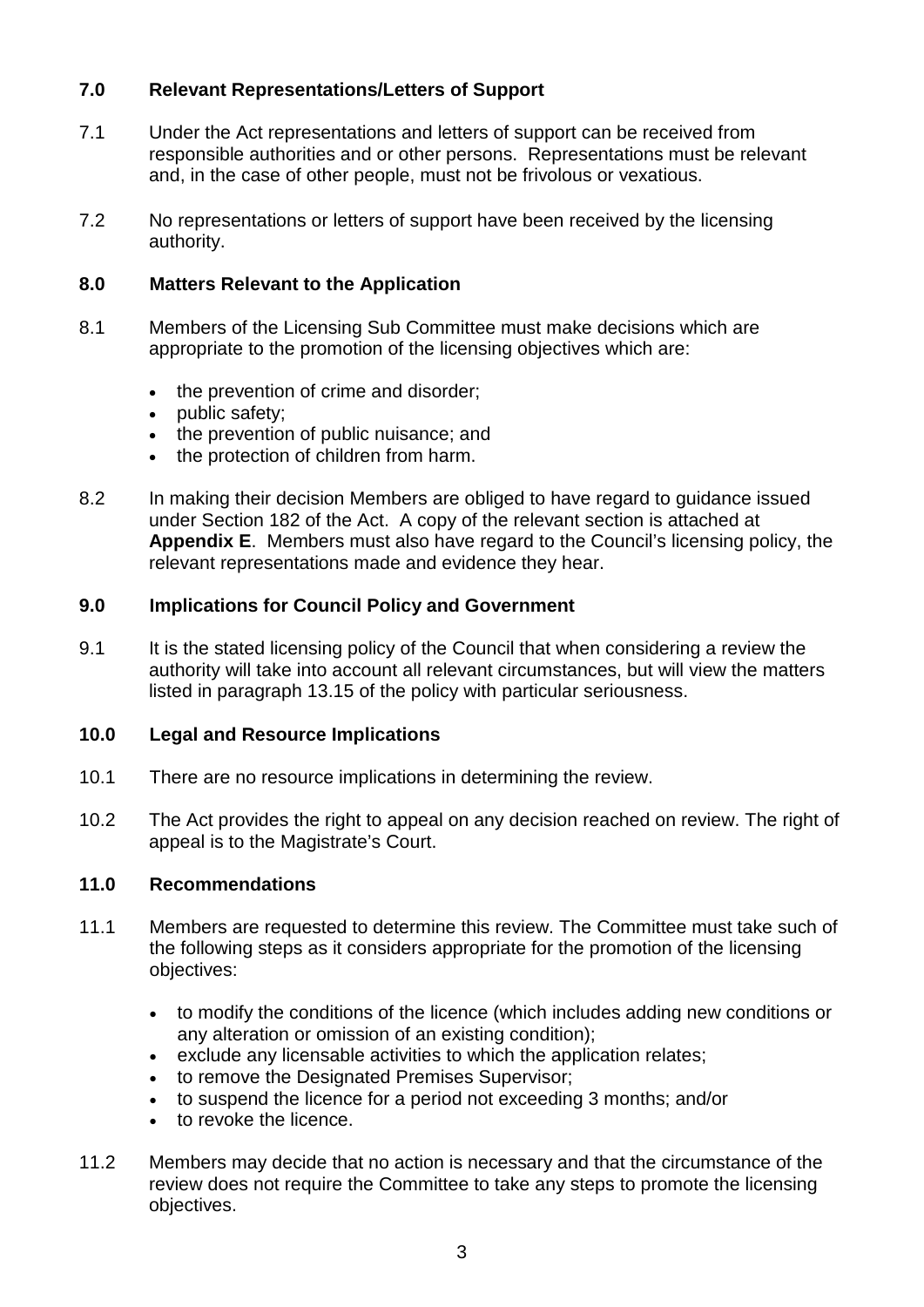## **7.0 Relevant Representations/Letters of Support**

- 7.1 Under the Act representations and letters of support can be received from responsible authorities and or other persons. Representations must be relevant and, in the case of other people, must not be frivolous or vexatious.
- 7.2 No representations or letters of support have been received by the licensing authority.

### **8.0 Matters Relevant to the Application**

- 8.1 Members of the Licensing Sub Committee must make decisions which are appropriate to the promotion of the licensing objectives which are:
	- the prevention of crime and disorder;
	- public safety;
	- the prevention of public nuisance; and
	- the protection of children from harm.
- 8.2 In making their decision Members are obliged to have regard to guidance issued under Section 182 of the Act. A copy of the relevant section is attached at **Appendix E**. Members must also have regard to the Council's licensing policy, the relevant representations made and evidence they hear.

### **9.0 Implications for Council Policy and Government**

9.1 It is the stated licensing policy of the Council that when considering a review the authority will take into account all relevant circumstances, but will view the matters listed in paragraph 13.15 of the policy with particular seriousness.

#### **10.0 Legal and Resource Implications**

- 10.1 There are no resource implications in determining the review.
- 10.2 The Act provides the right to appeal on any decision reached on review. The right of appeal is to the Magistrate's Court.

#### **11.0 Recommendations**

- 11.1 Members are requested to determine this review. The Committee must take such of the following steps as it considers appropriate for the promotion of the licensing objectives:
	- to modify the conditions of the licence (which includes adding new conditions or any alteration or omission of an existing condition);
	- exclude any licensable activities to which the application relates;
	- to remove the Designated Premises Supervisor;
	- to suspend the licence for a period not exceeding 3 months; and/or
	- to revoke the licence.
- 11.2 Members may decide that no action is necessary and that the circumstance of the review does not require the Committee to take any steps to promote the licensing objectives.